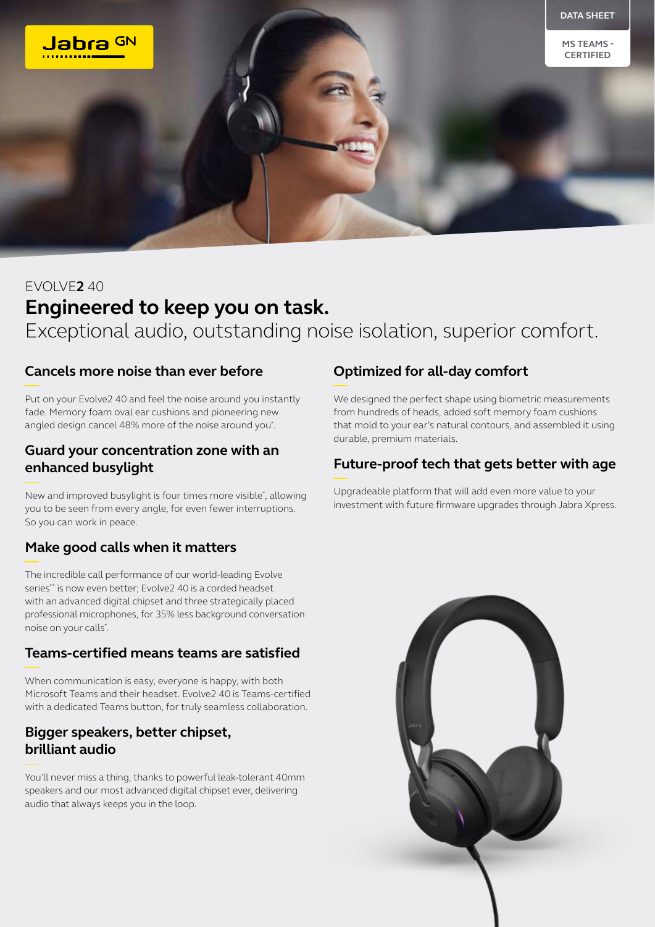

# EVOLVE**2** 40 **Engineered to keep you on task.** Exceptional audio, outstanding noise isolation, superior comfort.

#### **Cancels more noise than ever before**

Put on your Evolve2 40 and feel the noise around you instantly fade. Memory foam oval ear cushions and pioneering new angled design cancel 48% more of the noise around you\* .

#### **Guard your concentration zone with an enhanced busylight**

New and improved busylight is four times more visible\* , allowing you to be seen from every angle, for even fewer interruptions. So you can work in peace.

# **Make good calls when it matters**

The incredible call performance of our world-leading Evolve series\*\* is now even better; Evolve2 40 is a corded headset with an advanced digital chipset and three strategically placed professional microphones, for 35% less background conversation noise on your calls\* .

#### **Teams-certified means teams are satisfied**

When communication is easy, everyone is happy, with both Microsoft Teams and their headset. Evolve2 40 is Teams-certified with a dedicated Teams button, for truly seamless collaboration.

### **Bigger speakers, better chipset, brilliant audio**

You'll never miss a thing, thanks to powerful leak-tolerant 40mm speakers and our most advanced digital chipset ever, delivering audio that always keeps you in the loop.

# **Optimized for all-day comfort**

We designed the perfect shape using biometric measurements from hundreds of heads, added soft memory foam cushions that mold to your ear's natural contours, and assembled it using durable, premium materials.

# **Future-proof tech that gets better with age**

Upgradeable platform that will add even more value to your investment with future firmware upgrades through Jabra Xpress.